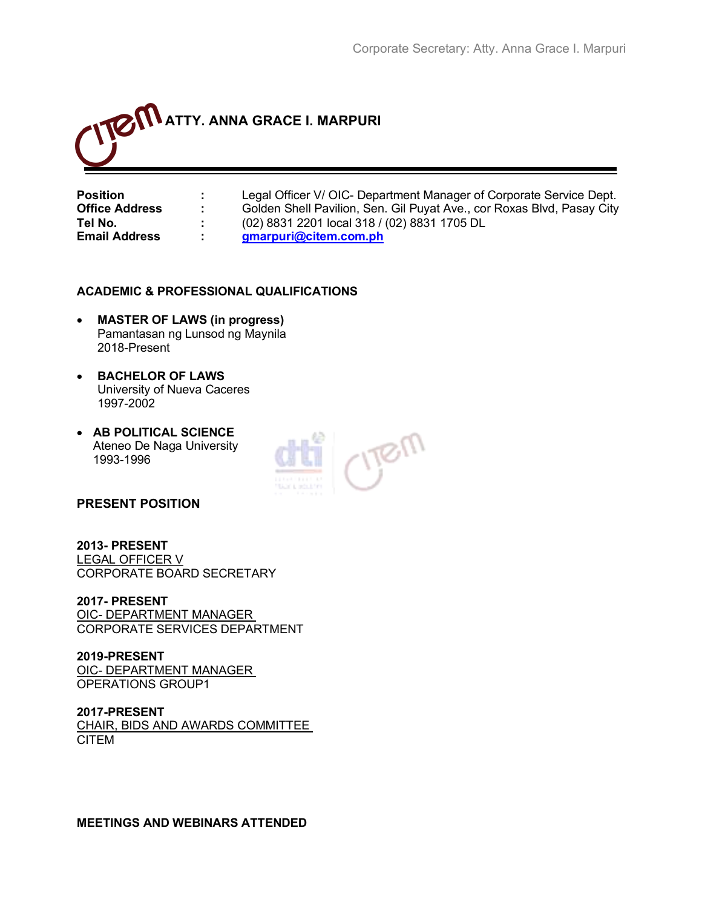

**Position : Legal Officer V/ OIC- Department Manager of Corporate Service Dept. Office Address :** Golden Shell Pavilion, Sen. Gil Puyat Ave., cor Roxas Blvd, Pasay City **Tel No. :** (02) 8831 2201 local 318 / (02) 8831 1705 DL **Email Address : [gmarpuri@citem.com.ph](mailto:gmarpuri@citem.com.ph)**

#### **ACADEMIC & PROFESSIONAL QUALIFICATIONS**

- **MASTER OF LAWS (in progress)** Pamantasan ng Lunsod ng Maynila 2018-Present
- **BACHELOR OF LAWS** University of Nueva Caceres 1997-2002
- **AB POLITICAL SCIENCE** Ateneo De Naga University 1993-1996



#### **PRESENT POSITION**

**2013- PRESENT** LEGAL OFFICER V CORPORATE BOARD SECRETARY

**2017- PRESENT** OIC- DEPARTMENT MANAGER CORPORATE SERVICES DEPARTMENT

**2019-PRESENT**  OIC- DEPARTMENT MANAGER OPERATIONS GROUP1

**2017-PRESENT**  CHAIR, BIDS AND AWARDS COMMITTEE CITEM

**MEETINGS AND WEBINARS ATTENDED**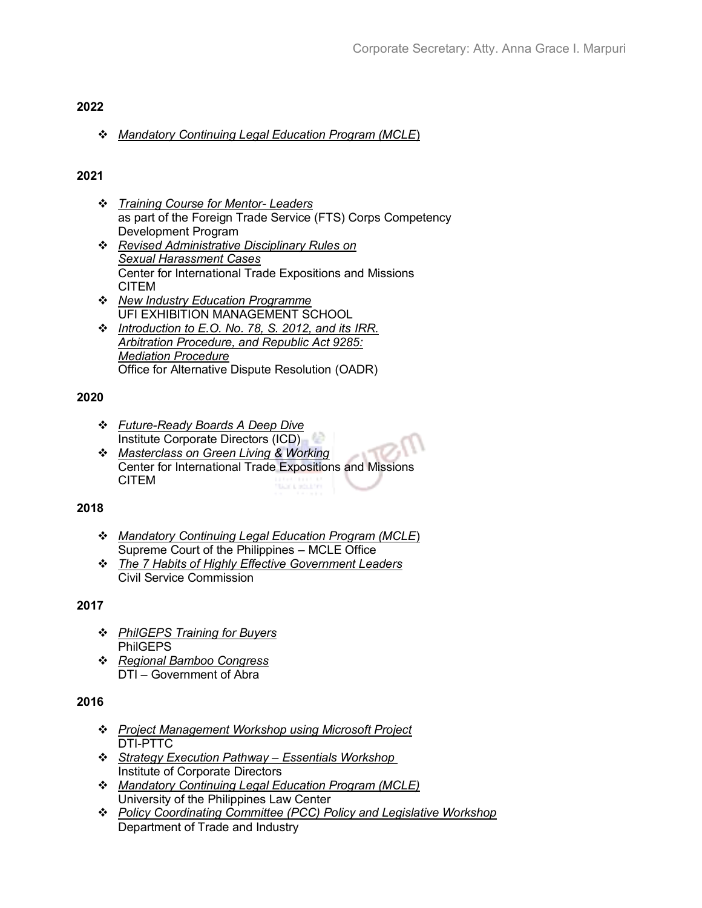#### **2022**

#### ❖ *Mandatory Continuing Legal Education Program (MCLE*)

# **2021**

- ❖ *Training Course for Mentor- Leaders* as part of the Foreign Trade Service (FTS) Corps Competency Development Program
- ❖ *Revised Administrative Disciplinary Rules on Sexual Harassment Cases* Center for International Trade Expositions and Missions CITEM
- ❖ *New Industry Education Programme* UFI EXHIBITION MANAGEMENT SCHOOL
- ❖ *Introduction to E.O. No. 78, S. 2012, and its IRR. Arbitration Procedure, and Republic Act 9285: Mediation Procedure* Office for Alternative Dispute Resolution (OADR)

# **2020**

- ❖ *Future-Ready Boards A Deep Dive* Institute Corporate Directors (ICD)
- ❖ *Masterclass on Green Living & Working* Center for International Trade Expositions and Missions CITEM **BENDING AND**

# **2018**

- ❖ *Mandatory Continuing Legal Education Program (MCLE*) Supreme Court of the Philippines – MCLE Office
- ❖ *The 7 Habits of Highly Effective Government Leaders* Civil Service Commission

# **2017**

- ❖ *PhilGEPS Training for Buyers* PhilGEPS
- ❖ *Regional Bamboo Congress* DTI – Government of Abra

# **2016**

- ❖ *Project Management Workshop using Microsoft Project* DTI-PTTC
- ❖ *Strategy Execution Pathway – Essentials Workshop*  Institute of Corporate Directors
- ❖ *Mandatory Continuing Legal Education Program (MCLE)* University of the Philippines Law Center
- ❖ *Policy Coordinating Committee (PCC) Policy and Legislative Workshop* Department of Trade and Industry